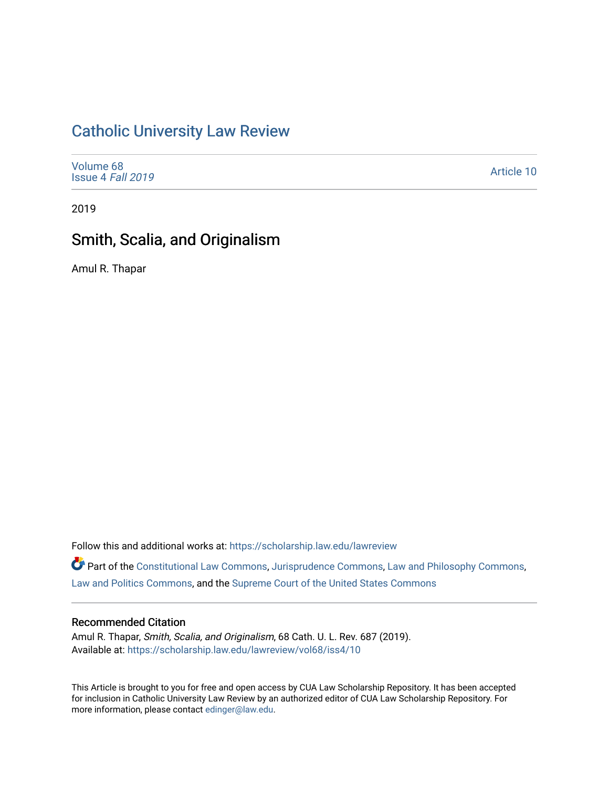## [Catholic University Law Review](https://scholarship.law.edu/lawreview)

| Volume 68<br>Issue 4 Fall 2019 | Article 10 |
|--------------------------------|------------|
|--------------------------------|------------|

2019

# Smith, Scalia, and Originalism

Amul R. Thapar

Follow this and additional works at: [https://scholarship.law.edu/lawreview](https://scholarship.law.edu/lawreview?utm_source=scholarship.law.edu%2Flawreview%2Fvol68%2Fiss4%2F10&utm_medium=PDF&utm_campaign=PDFCoverPages)

Part of the [Constitutional Law Commons,](http://network.bepress.com/hgg/discipline/589?utm_source=scholarship.law.edu%2Flawreview%2Fvol68%2Fiss4%2F10&utm_medium=PDF&utm_campaign=PDFCoverPages) [Jurisprudence Commons](http://network.bepress.com/hgg/discipline/610?utm_source=scholarship.law.edu%2Flawreview%2Fvol68%2Fiss4%2F10&utm_medium=PDF&utm_campaign=PDFCoverPages), [Law and Philosophy Commons](http://network.bepress.com/hgg/discipline/1299?utm_source=scholarship.law.edu%2Flawreview%2Fvol68%2Fiss4%2F10&utm_medium=PDF&utm_campaign=PDFCoverPages), [Law and Politics Commons](http://network.bepress.com/hgg/discipline/867?utm_source=scholarship.law.edu%2Flawreview%2Fvol68%2Fiss4%2F10&utm_medium=PDF&utm_campaign=PDFCoverPages), and the [Supreme Court of the United States Commons](http://network.bepress.com/hgg/discipline/1350?utm_source=scholarship.law.edu%2Flawreview%2Fvol68%2Fiss4%2F10&utm_medium=PDF&utm_campaign=PDFCoverPages) 

### Recommended Citation

Amul R. Thapar, Smith, Scalia, and Originalism, 68 Cath. U. L. Rev. 687 (2019). Available at: [https://scholarship.law.edu/lawreview/vol68/iss4/10](https://scholarship.law.edu/lawreview/vol68/iss4/10?utm_source=scholarship.law.edu%2Flawreview%2Fvol68%2Fiss4%2F10&utm_medium=PDF&utm_campaign=PDFCoverPages) 

This Article is brought to you for free and open access by CUA Law Scholarship Repository. It has been accepted for inclusion in Catholic University Law Review by an authorized editor of CUA Law Scholarship Repository. For more information, please contact [edinger@law.edu.](mailto:edinger@law.edu)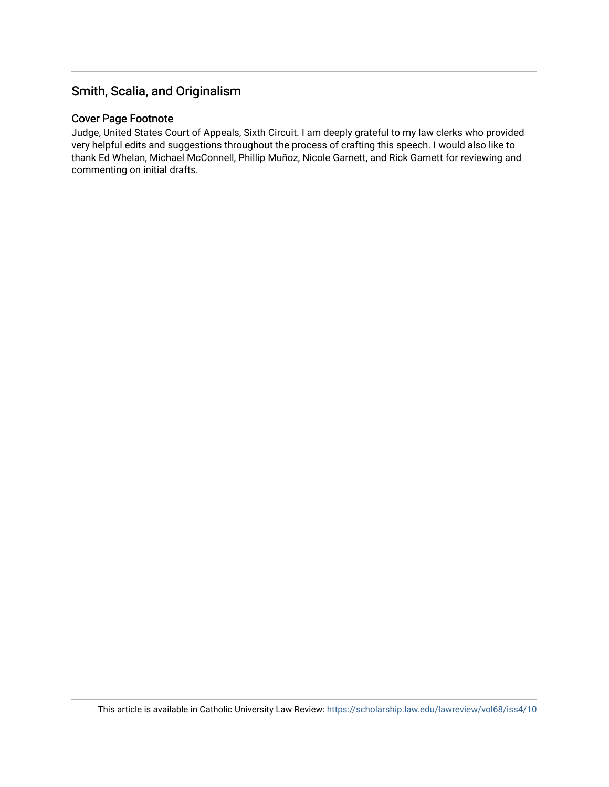## Smith, Scalia, and Originalism

### Cover Page Footnote

Judge, United States Court of Appeals, Sixth Circuit. I am deeply grateful to my law clerks who provided very helpful edits and suggestions throughout the process of crafting this speech. I would also like to thank Ed Whelan, Michael McConnell, Phillip Muñoz, Nicole Garnett, and Rick Garnett for reviewing and commenting on initial drafts.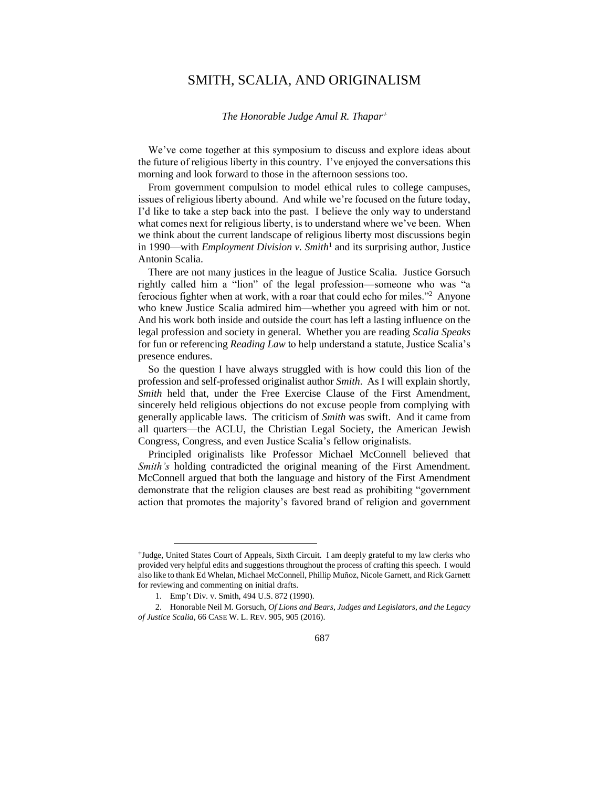## SMITH, SCALIA, AND ORIGINALISM

#### *The Honorable Judge Amul R. Thapar*

We've come together at this symposium to discuss and explore ideas about the future of religious liberty in this country. I've enjoyed the conversations this morning and look forward to those in the afternoon sessions too.

From government compulsion to model ethical rules to college campuses, issues of religious liberty abound. And while we're focused on the future today, I'd like to take a step back into the past. I believe the only way to understand what comes next for religious liberty, is to understand where we've been. When we think about the current landscape of religious liberty most discussions begin in 1990—with *Employment Division v. Smith*<sup>1</sup> and its surprising author, Justice Antonin Scalia.

There are not many justices in the league of Justice Scalia. Justice Gorsuch rightly called him a "lion" of the legal profession—someone who was "a ferocious fighter when at work, with a roar that could echo for miles."<sup>2</sup> Anyone who knew Justice Scalia admired him—whether you agreed with him or not. And his work both inside and outside the court has left a lasting influence on the legal profession and society in general. Whether you are reading *Scalia Speaks* for fun or referencing *Reading Law* to help understand a statute, Justice Scalia's presence endures.

So the question I have always struggled with is how could this lion of the profession and self-professed originalist author *Smith*. As I will explain shortly, *Smith* held that, under the Free Exercise Clause of the First Amendment, sincerely held religious objections do not excuse people from complying with generally applicable laws. The criticism of *Smith* was swift. And it came from all quarters—the ACLU, the Christian Legal Society, the American Jewish Congress, Congress, and even Justice Scalia's fellow originalists.

Principled originalists like Professor Michael McConnell believed that *Smith's* holding contradicted the original meaning of the First Amendment. McConnell argued that both the language and history of the First Amendment demonstrate that the religion clauses are best read as prohibiting "government action that promotes the majority's favored brand of religion and government

Judge, United States Court of Appeals, Sixth Circuit. I am deeply grateful to my law clerks who provided very helpful edits and suggestions throughout the process of crafting this speech. I would also like to thank Ed Whelan, Michael McConnell, Phillip Muñoz, Nicole Garnett, and Rick Garnett for reviewing and commenting on initial drafts.

<sup>1.</sup> Emp't Div. v. Smith, 494 U.S. 872 (1990).

<sup>2.</sup> Honorable Neil M. Gorsuch, *Of Lions and Bears, Judges and Legislators, and the Legacy of Justice Scalia*, 66 CASE W. L. REV. 905, 905 (2016).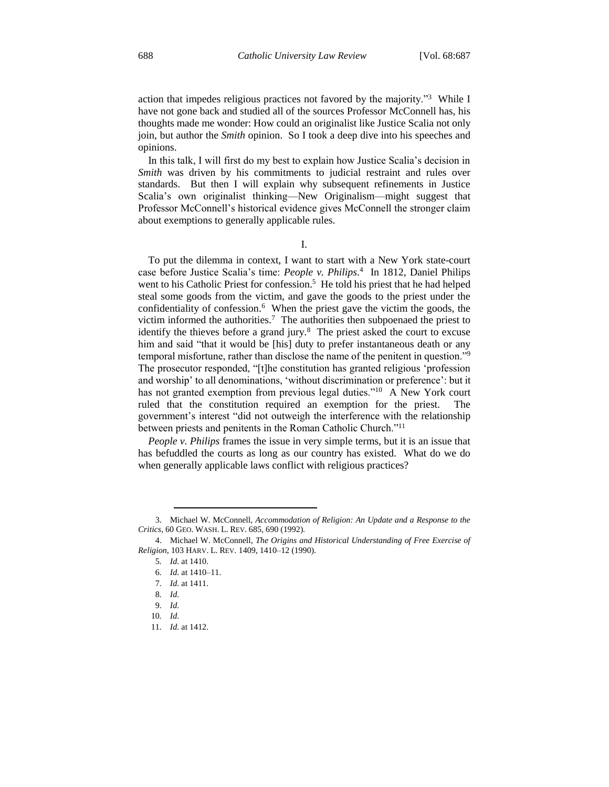action that impedes religious practices not favored by the majority."<sup>3</sup> While I have not gone back and studied all of the sources Professor McConnell has, his thoughts made me wonder: How could an originalist like Justice Scalia not only join, but author the *Smith* opinion. So I took a deep dive into his speeches and opinions.

In this talk, I will first do my best to explain how Justice Scalia's decision in *Smith* was driven by his commitments to judicial restraint and rules over standards. But then I will explain why subsequent refinements in Justice Scalia's own originalist thinking—New Originalism—might suggest that Professor McConnell's historical evidence gives McConnell the stronger claim about exemptions to generally applicable rules.

I.

To put the dilemma in context, I want to start with a New York state-court case before Justice Scalia's time: *People v. Philips*. 4 In 1812, Daniel Philips went to his Catholic Priest for confession.<sup>5</sup> He told his priest that he had helped steal some goods from the victim, and gave the goods to the priest under the confidentiality of confession.<sup>6</sup> When the priest gave the victim the goods, the victim informed the authorities.<sup>7</sup> The authorities then subpoenaed the priest to identify the thieves before a grand jury.<sup>8</sup> The priest asked the court to excuse him and said "that it would be [his] duty to prefer instantaneous death or any temporal misfortune, rather than disclose the name of the penitent in question."<sup>9</sup> The prosecutor responded, "[t]he constitution has granted religious 'profession and worship' to all denominations, 'without discrimination or preference': but it has not granted exemption from previous legal duties."<sup>10</sup> A New York court ruled that the constitution required an exemption for the priest. The government's interest "did not outweigh the interference with the relationship between priests and penitents in the Roman Catholic Church."<sup>11</sup>

*People v. Philips* frames the issue in very simple terms, but it is an issue that has befuddled the courts as long as our country has existed. What do we do when generally applicable laws conflict with religious practices?

<sup>3.</sup> Michael W. McConnell, *Accommodation of Religion: An Update and a Response to the Critics*, 60 GEO. WASH. L. REV. 685, 690 (1992).

<sup>4.</sup> Michael W. McConnell, *The Origins and Historical Understanding of Free Exercise of Religion*, 103 HARV. L. REV. 1409, 1410–12 (1990).

<sup>5</sup>*. Id.* at 1410.

<sup>6</sup>*. Id.* at 1410–11.

<sup>7</sup>*. Id.* at 1411.

<sup>8</sup>*. Id.*

<sup>9</sup>*. Id.*

<sup>10</sup>*. Id.*

<sup>11</sup>*. Id.* at 1412.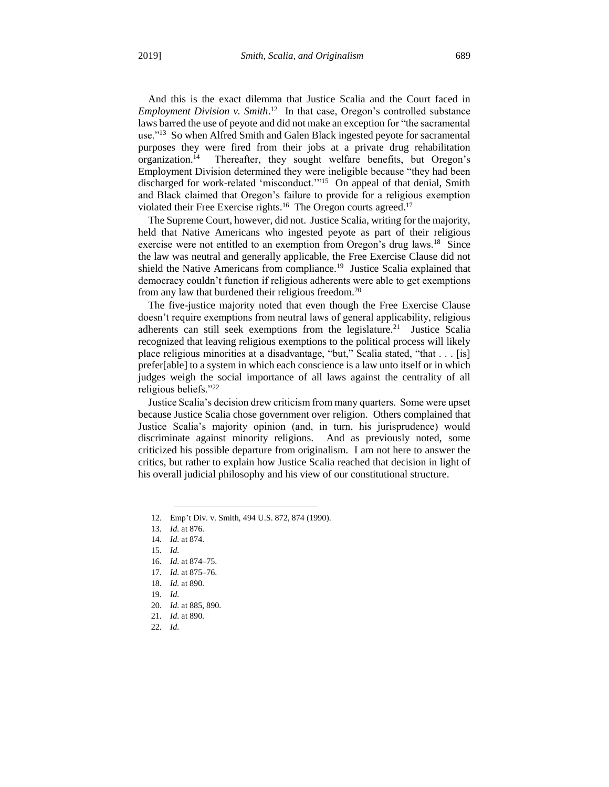And this is the exact dilemma that Justice Scalia and the Court faced in *Employment Division v. Smith*. 12 In that case, Oregon's controlled substance laws barred the use of peyote and did not make an exception for "the sacramental use."<sup>13</sup> So when Alfred Smith and Galen Black ingested peyote for sacramental purposes they were fired from their jobs at a private drug rehabilitation organization.<sup>14</sup> Thereafter, they sought welfare benefits, but Oregon's Employment Division determined they were ineligible because "they had been discharged for work-related 'misconduct.'"<sup>15</sup> On appeal of that denial, Smith and Black claimed that Oregon's failure to provide for a religious exemption violated their Free Exercise rights.<sup>16</sup> The Oregon courts agreed.<sup>17</sup>

The Supreme Court, however, did not. Justice Scalia, writing for the majority, held that Native Americans who ingested peyote as part of their religious exercise were not entitled to an exemption from Oregon's drug laws.<sup>18</sup> Since the law was neutral and generally applicable, the Free Exercise Clause did not shield the Native Americans from compliance.<sup>19</sup> Justice Scalia explained that democracy couldn't function if religious adherents were able to get exemptions from any law that burdened their religious freedom.<sup>20</sup>

The five-justice majority noted that even though the Free Exercise Clause doesn't require exemptions from neutral laws of general applicability, religious adherents can still seek exemptions from the legislature.<sup>21</sup> Justice Scalia recognized that leaving religious exemptions to the political process will likely place religious minorities at a disadvantage, "but," Scalia stated, "that . . . [is] prefer[able] to a system in which each conscience is a law unto itself or in which judges weigh the social importance of all laws against the centrality of all religious beliefs."<sup>22</sup>

Justice Scalia's decision drew criticism from many quarters. Some were upset because Justice Scalia chose government over religion. Others complained that Justice Scalia's majority opinion (and, in turn, his jurisprudence) would discriminate against minority religions. And as previously noted, some criticized his possible departure from originalism. I am not here to answer the critics, but rather to explain how Justice Scalia reached that decision in light of his overall judicial philosophy and his view of our constitutional structure.

 $\overline{a}$ 

17*. Id.* at 875–76.

<sup>12.</sup> Emp't Div. v. Smith, 494 U.S. 872, 874 (1990).

<sup>13</sup>*. Id.* at 876.

<sup>14</sup>*. Id.* at 874.

<sup>15</sup>*. Id.*

<sup>16</sup>*. Id.* at 874–75.

<sup>18</sup>*. Id.* at 890.

<sup>19</sup>*. Id.*

<sup>20</sup>*. Id.* at 885, 890.

<sup>21</sup>*. Id.* at 890.

<sup>22</sup>*. Id.*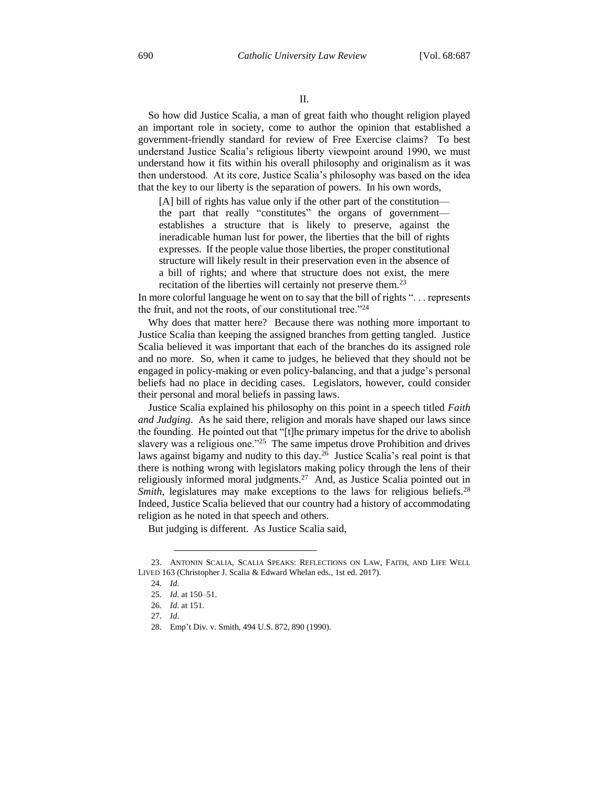So how did Justice Scalia, a man of great faith who thought religion played an important role in society, come to author the opinion that established a government-friendly standard for review of Free Exercise claims? To best understand Justice Scalia's religious liberty viewpoint around 1990, we must understand how it fits within his overall philosophy and originalism as it was then understood. At its core, Justice Scalia's philosophy was based on the idea that the key to our liberty is the separation of powers. In his own words,

[A] bill of rights has value only if the other part of the constitution the part that really "constitutes" the organs of government establishes a structure that is likely to preserve, against the ineradicable human lust for power, the liberties that the bill of rights expresses. If the people value those liberties, the proper constitutional structure will likely result in their preservation even in the absence of a bill of rights; and where that structure does not exist, the mere recitation of the liberties will certainly not preserve them.<sup>23</sup>

In more colorful language he went on to say that the bill of rights ". . . represents the fruit, and not the roots, of our constitutional tree."<sup>24</sup>

Why does that matter here? Because there was nothing more important to Justice Scalia than keeping the assigned branches from getting tangled. Justice Scalia believed it was important that each of the branches do its assigned role and no more. So, when it came to judges, he believed that they should not be engaged in policy-making or even policy-balancing, and that a judge's personal beliefs had no place in deciding cases. Legislators, however, could consider their personal and moral beliefs in passing laws.

Justice Scalia explained his philosophy on this point in a speech titled *Faith and Judging*. As he said there, religion and morals have shaped our laws since the founding. He pointed out that "[t]he primary impetus for the drive to abolish slavery was a religious one."<sup>25</sup> The same impetus drove Prohibition and drives laws against bigamy and nudity to this day.<sup>26</sup> Justice Scalia's real point is that there is nothing wrong with legislators making policy through the lens of their religiously informed moral judgments.<sup>27</sup> And, as Justice Scalia pointed out in *Smith*, legislatures may make exceptions to the laws for religious beliefs.<sup>28</sup> Indeed, Justice Scalia believed that our country had a history of accommodating religion as he noted in that speech and others.

But judging is different. As Justice Scalia said,

<sup>23.</sup> ANTONIN SCALIA, SCALIA SPEAKS: REFLECTIONS ON LAW, FAITH, AND LIFE WELL LIVED 163 (Christopher J. Scalia & Edward Whelan eds., 1st ed. 2017).

<sup>24</sup>*. Id.*

<sup>25</sup>*. Id.* at 150–51.

<sup>26</sup>*. Id.* at 151.

<sup>27</sup>*. Id.*

<sup>28.</sup> Emp't Div. v. Smith, 494 U.S. 872, 890 (1990).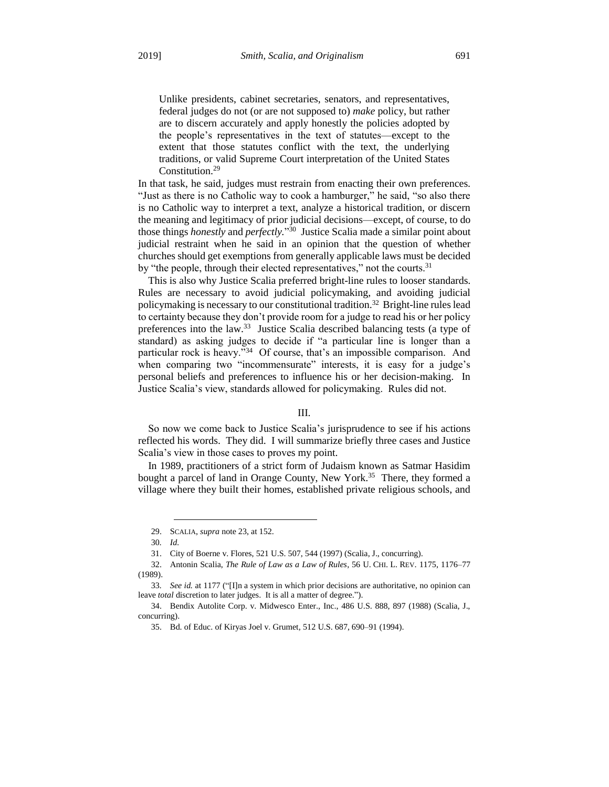Unlike presidents, cabinet secretaries, senators, and representatives, federal judges do not (or are not supposed to) *make* policy, but rather are to discern accurately and apply honestly the policies adopted by the people's representatives in the text of statutes—except to the extent that those statutes conflict with the text, the underlying traditions, or valid Supreme Court interpretation of the United States Constitution.<sup>29</sup>

In that task, he said, judges must restrain from enacting their own preferences. "Just as there is no Catholic way to cook a hamburger," he said, "so also there is no Catholic way to interpret a text, analyze a historical tradition, or discern the meaning and legitimacy of prior judicial decisions—except, of course, to do those things *honestly* and *perfectly.*" 30 Justice Scalia made a similar point about judicial restraint when he said in an opinion that the question of whether churches should get exemptions from generally applicable laws must be decided by "the people, through their elected representatives," not the courts.<sup>31</sup>

This is also why Justice Scalia preferred bright-line rules to looser standards. Rules are necessary to avoid judicial policymaking, and avoiding judicial policymaking is necessary to our constitutional tradition.<sup>32</sup> Bright-line rules lead to certainty because they don't provide room for a judge to read his or her policy preferences into the law.<sup>33</sup> Justice Scalia described balancing tests (a type of standard) as asking judges to decide if "a particular line is longer than a particular rock is heavy."<sup>34</sup> Of course, that's an impossible comparison. And when comparing two "incommensurate" interests, it is easy for a judge's personal beliefs and preferences to influence his or her decision-making. In Justice Scalia's view, standards allowed for policymaking. Rules did not.

#### III.

So now we come back to Justice Scalia's jurisprudence to see if his actions reflected his words. They did. I will summarize briefly three cases and Justice Scalia's view in those cases to proves my point.

In 1989, practitioners of a strict form of Judaism known as Satmar Hasidim bought a parcel of land in Orange County, New York.<sup>35</sup> There, they formed a village where they built their homes, established private religious schools, and

<sup>29.</sup> SCALIA, *supra* note 23, at 152.

<sup>30</sup>*. Id.*

<sup>31.</sup> City of Boerne v. Flores, 521 U.S. 507, 544 (1997) (Scalia, J., concurring).

<sup>32.</sup> Antonin Scalia, *The Rule of Law as a Law of Rules*, 56 U. CHI. L. REV. 1175, 1176–77 (1989).

<sup>33</sup>*. See id.* at 1177 ("[I]n a system in which prior decisions are authoritative, no opinion can leave *total* discretion to later judges. It is all a matter of degree.").

<sup>34.</sup> Bendix Autolite Corp. v. Midwesco Enter., Inc., 486 U.S. 888, 897 (1988) (Scalia, J., concurring).

<sup>35.</sup> Bd. of Educ. of Kiryas Joel v. Grumet*,* 512 U.S. 687, 690–91 (1994).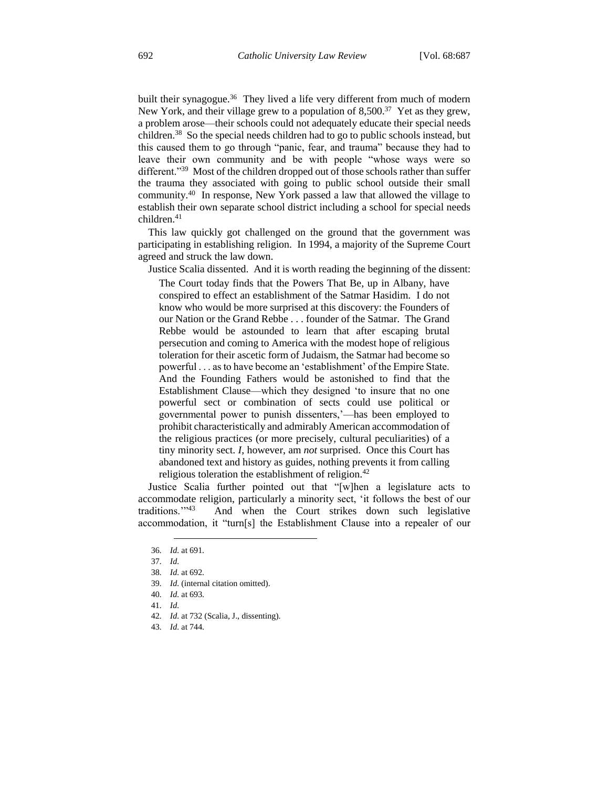built their synagogue.<sup>36</sup> They lived a life very different from much of modern New York, and their village grew to a population of  $8,500.^{37}$  Yet as they grew, a problem arose—their schools could not adequately educate their special needs children.<sup>38</sup> So the special needs children had to go to public schools instead, but this caused them to go through "panic, fear, and trauma" because they had to leave their own community and be with people "whose ways were so different."<sup>39</sup> Most of the children dropped out of those schools rather than suffer the trauma they associated with going to public school outside their small community.<sup>40</sup> In response, New York passed a law that allowed the village to establish their own separate school district including a school for special needs children.<sup>41</sup>

This law quickly got challenged on the ground that the government was participating in establishing religion. In 1994, a majority of the Supreme Court agreed and struck the law down.

Justice Scalia dissented. And it is worth reading the beginning of the dissent:

The Court today finds that the Powers That Be, up in Albany, have conspired to effect an establishment of the Satmar Hasidim. I do not know who would be more surprised at this discovery: the Founders of our Nation or the Grand Rebbe . . . founder of the Satmar. The Grand Rebbe would be astounded to learn that after escaping brutal persecution and coming to America with the modest hope of religious toleration for their ascetic form of Judaism, the Satmar had become so powerful . . . as to have become an 'establishment' of the Empire State. And the Founding Fathers would be astonished to find that the Establishment Clause—which they designed 'to insure that no one powerful sect or combination of sects could use political or governmental power to punish dissenters,'—has been employed to prohibit characteristically and admirably American accommodation of the religious practices (or more precisely, cultural peculiarities) of a tiny minority sect. *I*, however, am *not* surprised. Once this Court has abandoned text and history as guides, nothing prevents it from calling religious toleration the establishment of religion.<sup>42</sup>

Justice Scalia further pointed out that "[w]hen a legislature acts to accommodate religion, particularly a minority sect, 'it follows the best of our traditions.">43 And when the Court strikes down such legislative accommodation, it "turn[s] the Establishment Clause into a repealer of our

- 41*. Id.*
- 42*. Id.* at 732 (Scalia, J., dissenting).
- 43*. Id.* at 744.

 $\overline{a}$ 36*. Id.* at 691.

<sup>37</sup>*. Id.*

<sup>38</sup>*. Id.* at 692.

<sup>39</sup>*. Id.* (internal citation omitted).

<sup>40</sup>*. Id.* at 693.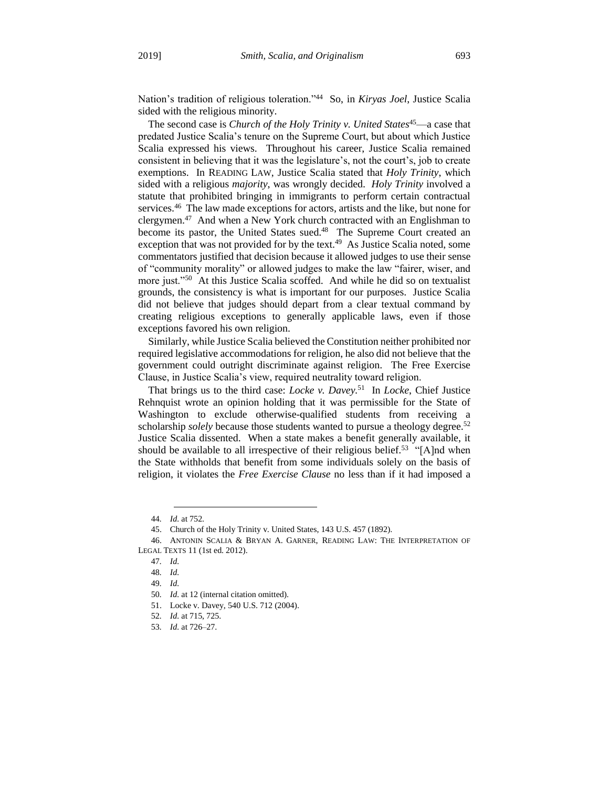Nation's tradition of religious toleration."<sup>44</sup> So, in *Kiryas Joel*, Justice Scalia sided with the religious minority.

The second case is *Church of the Holy Trinity v. United States*<sup>45</sup>—a case that predated Justice Scalia's tenure on the Supreme Court, but about which Justice Scalia expressed his views. Throughout his career, Justice Scalia remained consistent in believing that it was the legislature's, not the court's, job to create exemptions. In READING LAW, Justice Scalia stated that *Holy Trinity*, which sided with a religious *majority*, was wrongly decided. *Holy Trinity* involved a statute that prohibited bringing in immigrants to perform certain contractual services.<sup>46</sup> The law made exceptions for actors, artists and the like, but none for clergymen.<sup>47</sup> And when a New York church contracted with an Englishman to become its pastor, the United States sued.<sup>48</sup> The Supreme Court created an exception that was not provided for by the text.<sup>49</sup> As Justice Scalia noted, some commentators justified that decision because it allowed judges to use their sense of "community morality" or allowed judges to make the law "fairer, wiser, and more just."<sup>50</sup> At this Justice Scalia scoffed. And while he did so on textualist grounds, the consistency is what is important for our purposes. Justice Scalia did not believe that judges should depart from a clear textual command by creating religious exceptions to generally applicable laws, even if those exceptions favored his own religion.

Similarly, while Justice Scalia believed the Constitution neither prohibited nor required legislative accommodations for religion, he also did not believe that the government could outright discriminate against religion. The Free Exercise Clause, in Justice Scalia's view, required neutrality toward religion.

That brings us to the third case: *Locke v. Davey.*<sup>51</sup> In *Locke*, Chief Justice Rehnquist wrote an opinion holding that it was permissible for the State of Washington to exclude otherwise-qualified students from receiving a scholarship *solely* because those students wanted to pursue a theology degree.<sup>52</sup> Justice Scalia dissented. When a state makes a benefit generally available, it should be available to all irrespective of their religious belief.<sup>53</sup> "[A]nd when the State withholds that benefit from some individuals solely on the basis of religion, it violates the *Free Exercise Clause* no less than if it had imposed a

 $\overline{a}$ 44*. Id.* at 752.

<sup>45.</sup> Church of the Holy Trinity v. United States, 143 U.S. 457 (1892).

<sup>46.</sup> ANTONIN SCALIA & BRYAN A. GARNER, READING LAW: THE INTERPRETATION OF LEGAL TEXTS 11 (1st ed. 2012).

<sup>47</sup>*. Id.*

<sup>48</sup>*. Id.*

<sup>49</sup>*. Id.*

<sup>50</sup>*. Id.* at 12 (internal citation omitted).

<sup>51.</sup> Locke v. Davey, 540 U.S. 712 (2004).

<sup>52</sup>*. Id.* at 715, 725.

<sup>53</sup>*. Id.* at 726–27.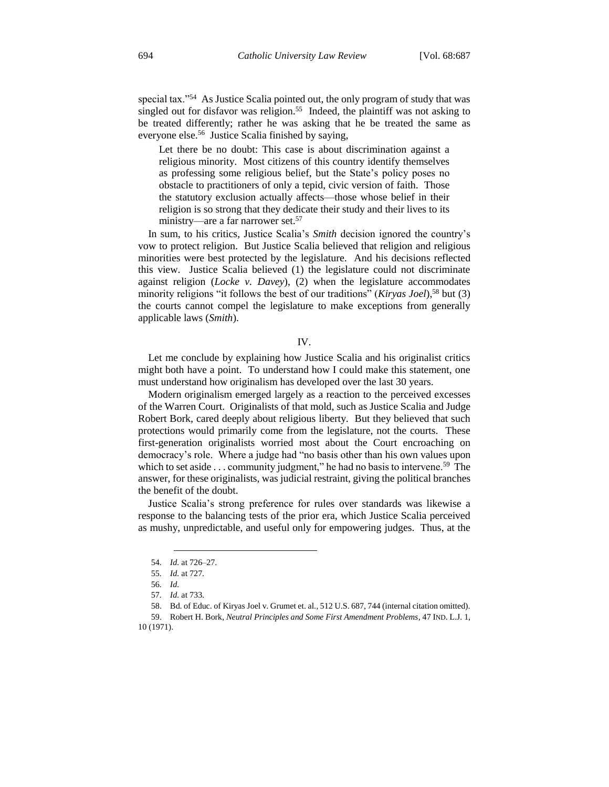special tax."<sup>54</sup> As Justice Scalia pointed out, the only program of study that was singled out for disfavor was religion.<sup>55</sup> Indeed, the plaintiff was not asking to be treated differently; rather he was asking that he be treated the same as everyone else.<sup>56</sup> Justice Scalia finished by saying,

Let there be no doubt: This case is about discrimination against a religious minority. Most citizens of this country identify themselves as professing some religious belief, but the State's policy poses no obstacle to practitioners of only a tepid, civic version of faith. Those the statutory exclusion actually affects—those whose belief in their religion is so strong that they dedicate their study and their lives to its ministry—are a far narrower set.<sup>57</sup>

In sum, to his critics, Justice Scalia's *Smith* decision ignored the country's vow to protect religion. But Justice Scalia believed that religion and religious minorities were best protected by the legislature. And his decisions reflected this view. Justice Scalia believed (1) the legislature could not discriminate against religion (*Locke v. Davey*), (2) when the legislature accommodates minority religions "it follows the best of our traditions" (*Kiryas Joel*),<sup>58</sup> but (3) the courts cannot compel the legislature to make exceptions from generally applicable laws (*Smith*).

#### IV.

Let me conclude by explaining how Justice Scalia and his originalist critics might both have a point. To understand how I could make this statement, one must understand how originalism has developed over the last 30 years.

Modern originalism emerged largely as a reaction to the perceived excesses of the Warren Court. Originalists of that mold, such as Justice Scalia and Judge Robert Bork, cared deeply about religious liberty. But they believed that such protections would primarily come from the legislature, not the courts. These first-generation originalists worried most about the Court encroaching on democracy's role. Where a judge had "no basis other than his own values upon which to set aside  $\dots$  community judgment," he had no basis to intervene.<sup>59</sup> The answer, for these originalists, was judicial restraint, giving the political branches the benefit of the doubt.

Justice Scalia's strong preference for rules over standards was likewise a response to the balancing tests of the prior era, which Justice Scalia perceived as mushy, unpredictable, and useful only for empowering judges. Thus, at the

<sup>54</sup>*. Id.* at 726–27.

<sup>55</sup>*. Id.* at 727.

<sup>56</sup>*. Id.* 

<sup>57</sup>*. Id.* at 733.

<sup>58.</sup> Bd. of Educ. of Kiryas Joel v. Grumet et. al.*,* 512 U.S. 687, 744 (internal citation omitted).

<sup>59.</sup> Robert H. Bork, *Neutral Principles and Some First Amendment Problems*, 47 IND. L.J. 1, 10 (1971).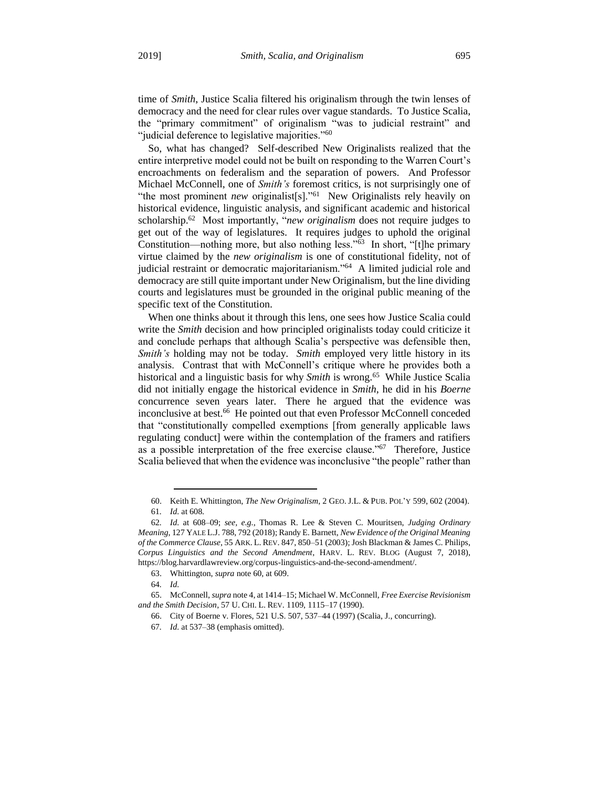time of *Smith*, Justice Scalia filtered his originalism through the twin lenses of democracy and the need for clear rules over vague standards. To Justice Scalia, the "primary commitment" of originalism "was to judicial restraint" and "judicial deference to legislative majorities."<sup>60</sup>

So, what has changed? Self-described New Originalists realized that the entire interpretive model could not be built on responding to the Warren Court's encroachments on federalism and the separation of powers. And Professor Michael McConnell, one of *Smith's* foremost critics, is not surprisingly one of "the most prominent *new* originalist[s]."<sup>61</sup> New Originalists rely heavily on historical evidence, linguistic analysis, and significant academic and historical scholarship.<sup>62</sup> Most importantly, "*new originalism* does not require judges to get out of the way of legislatures. It requires judges to uphold the original Constitution—nothing more, but also nothing less."<sup>63</sup> In short, "[t]he primary virtue claimed by the *new originalism* is one of constitutional fidelity, not of judicial restraint or democratic majoritarianism."<sup>64</sup> A limited judicial role and democracy are still quite important under New Originalism, but the line dividing courts and legislatures must be grounded in the original public meaning of the specific text of the Constitution.

When one thinks about it through this lens, one sees how Justice Scalia could write the *Smith* decision and how principled originalists today could criticize it and conclude perhaps that although Scalia's perspective was defensible then, *Smith's* holding may not be today. *Smith* employed very little history in its analysis. Contrast that with McConnell's critique where he provides both a historical and a linguistic basis for why Smith is wrong.<sup>65</sup> While Justice Scalia did not initially engage the historical evidence in *Smith*, he did in his *Boerne*  concurrence seven years later. There he argued that the evidence was inconclusive at best.<sup>66</sup> He pointed out that even Professor McConnell conceded that "constitutionally compelled exemptions [from generally applicable laws regulating conduct] were within the contemplation of the framers and ratifiers as a possible interpretation of the free exercise clause."<sup>67</sup> Therefore, Justice Scalia believed that when the evidence was inconclusive "the people" rather than

<sup>60.</sup> Keith E. Whittington, *The New Originalism*, 2 GEO. J.L. & PUB. POL'Y 599, 602 (2004). 61*. Id.* at 608.

<sup>62</sup>*. Id.* at 608–09; *see, e.g.*, Thomas R. Lee & Steven C. Mouritsen, *Judging Ordinary Meaning*, 127 YALE L.J. 788, 792 (2018); Randy E. Barnett, *New Evidence of the Original Meaning of the Commerce Clause*, 55 ARK. L. REV. 847, 850–51 (2003); Josh Blackman & James C. Philips, *Corpus Linguistics and the Second Amendment*, HARV. L. REV. BLOG (August 7, 2018), https://blog.harvardlawreview.org/corpus-linguistics-and-the-second-amendment/.

<sup>63.</sup> Whittington, *supra* note 60, at 609.

<sup>64</sup>*. Id.*

<sup>65.</sup> McConnell, *supra* note 4, at 1414–15; Michael W. McConnell, *Free Exercise Revisionism and the Smith Decision*, 57 U. CHI. L. REV. 1109, 1115–17 (1990).

<sup>66.</sup> City of Boerne v. Flores, 521 U.S. 507, 537–44 (1997) (Scalia, J., concurring).

<sup>67</sup>*. Id.* at 537–38 (emphasis omitted).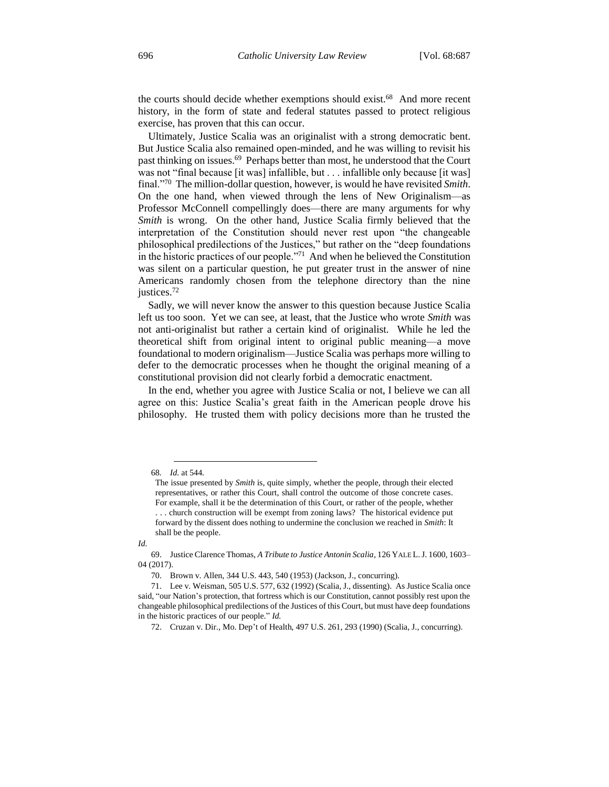the courts should decide whether exemptions should exist.<sup>68</sup> And more recent history, in the form of state and federal statutes passed to protect religious exercise, has proven that this can occur.

Ultimately, Justice Scalia was an originalist with a strong democratic bent. But Justice Scalia also remained open-minded, and he was willing to revisit his past thinking on issues.<sup>69</sup> Perhaps better than most, he understood that the Court was not "final because [it was] infallible, but . . . infallible only because [it was] final."<sup>70</sup> The million-dollar question, however, is would he have revisited *Smith*. On the one hand, when viewed through the lens of New Originalism—as Professor McConnell compellingly does—there are many arguments for why *Smith* is wrong. On the other hand, Justice Scalia firmly believed that the interpretation of the Constitution should never rest upon "the changeable philosophical predilections of the Justices," but rather on the "deep foundations in the historic practices of our people."<sup>71</sup> And when he believed the Constitution was silent on a particular question, he put greater trust in the answer of nine Americans randomly chosen from the telephone directory than the nine justices.<sup>72</sup>

Sadly, we will never know the answer to this question because Justice Scalia left us too soon. Yet we can see, at least, that the Justice who wrote *Smith* was not anti-originalist but rather a certain kind of originalist. While he led the theoretical shift from original intent to original public meaning—a move foundational to modern originalism—Justice Scalia was perhaps more willing to defer to the democratic processes when he thought the original meaning of a constitutional provision did not clearly forbid a democratic enactment.

In the end, whether you agree with Justice Scalia or not, I believe we can all agree on this: Justice Scalia's great faith in the American people drove his philosophy. He trusted them with policy decisions more than he trusted the

 $\overline{a}$ 68*. Id.* at 544.

The issue presented by *Smith* is, quite simply, whether the people, through their elected representatives, or rather this Court, shall control the outcome of those concrete cases. For example, shall it be the determination of this Court, or rather of the people, whether ... church construction will be exempt from zoning laws? The historical evidence put forward by the dissent does nothing to undermine the conclusion we reached in *Smith*: It shall be the people.

*Id.*

<sup>69.</sup> Justice Clarence Thomas, *A Tribute to Justice Antonin Scalia*, 126 YALE L.J. 1600, 1603– 04 (2017).

<sup>70.</sup> Brown v. Allen, 344 U.S. 443, 540 (1953) (Jackson, J., concurring).

<sup>71.</sup> Lee v. Weisman, 505 U.S. 577, 632 (1992) (Scalia, J., dissenting). As Justice Scalia once said, "our Nation's protection, that fortress which is our Constitution, cannot possibly rest upon the changeable philosophical predilections of the Justices of this Court, but must have deep foundations in the historic practices of our people." *Id.*

<sup>72.</sup> Cruzan v. Dir., Mo. Dep't of Health, 497 U.S. 261, 293 (1990) (Scalia, J., concurring).